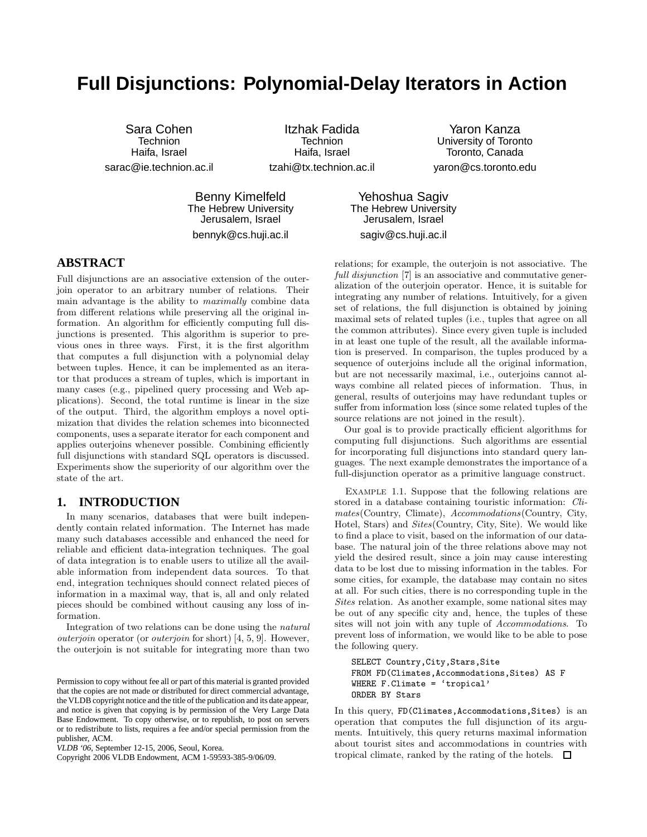# **Full Disjunctions: Polynomial-Delay Iterators in Action**

Sara Cohen Technion Haifa, Israel sarac@ie.technion.ac.il

Itzhak Fadida Technion Haifa, Israel tzahi@tx.technion.ac.il

Yaron Kanza University of Toronto Toronto, Canada yaron@cs.toronto.edu

Benny Kimelfeld The Hebrew University Jerusalem, Israel bennyk@cs.huji.ac.il

Yehoshua Sagiv The Hebrew University Jerusalem, Israel sagiv@cs.huji.ac.il

# **ABSTRACT**

Full disjunctions are an associative extension of the outerjoin operator to an arbitrary number of relations. Their main advantage is the ability to maximally combine data from different relations while preserving all the original information. An algorithm for efficiently computing full disjunctions is presented. This algorithm is superior to previous ones in three ways. First, it is the first algorithm that computes a full disjunction with a polynomial delay between tuples. Hence, it can be implemented as an iterator that produces a stream of tuples, which is important in many cases (e.g., pipelined query processing and Web applications). Second, the total runtime is linear in the size of the output. Third, the algorithm employs a novel optimization that divides the relation schemes into biconnected components, uses a separate iterator for each component and applies outerjoins whenever possible. Combining efficiently full disjunctions with standard SQL operators is discussed. Experiments show the superiority of our algorithm over the state of the art.

## **1. INTRODUCTION**

In many scenarios, databases that were built independently contain related information. The Internet has made many such databases accessible and enhanced the need for reliable and efficient data-integration techniques. The goal of data integration is to enable users to utilize all the available information from independent data sources. To that end, integration techniques should connect related pieces of information in a maximal way, that is, all and only related pieces should be combined without causing any loss of information.

Integration of two relations can be done using the natural outerjoin operator (or outerjoin for short) [4, 5, 9]. However, the outerjoin is not suitable for integrating more than two

Copyright 2006 VLDB Endowment, ACM 1-59593-385-9/06/09.

relations; for example, the outerjoin is not associative. The full disjunction [7] is an associative and commutative generalization of the outerjoin operator. Hence, it is suitable for integrating any number of relations. Intuitively, for a given set of relations, the full disjunction is obtained by joining maximal sets of related tuples (i.e., tuples that agree on all the common attributes). Since every given tuple is included in at least one tuple of the result, all the available information is preserved. In comparison, the tuples produced by a sequence of outerjoins include all the original information, but are not necessarily maximal, i.e., outerjoins cannot always combine all related pieces of information. Thus, in general, results of outerjoins may have redundant tuples or suffer from information loss (since some related tuples of the source relations are not joined in the result).

Our goal is to provide practically efficient algorithms for computing full disjunctions. Such algorithms are essential for incorporating full disjunctions into standard query languages. The next example demonstrates the importance of a full-disjunction operator as a primitive language construct.

Example 1.1. Suppose that the following relations are stored in a database containing touristic information: Climates(Country, Climate), Accommodations(Country, City, Hotel, Stars) and Sites(Country, City, Site). We would like to find a place to visit, based on the information of our database. The natural join of the three relations above may not yield the desired result, since a join may cause interesting data to be lost due to missing information in the tables. For some cities, for example, the database may contain no sites at all. For such cities, there is no corresponding tuple in the Sites relation. As another example, some national sites may be out of any specific city and, hence, the tuples of these sites will not join with any tuple of Accommodations. To prevent loss of information, we would like to be able to pose the following query.

```
SELECT Country,City,Stars,Site
FROM FD(Climates,Accommodations,Sites) AS F
WHERE F.Climate = 'tropical'
ORDER BY Stars
```
In this query, FD(Climates,Accommodations,Sites) is an operation that computes the full disjunction of its arguments. Intuitively, this query returns maximal information about tourist sites and accommodations in countries with tropical climate, ranked by the rating of the hotels.  $\Box$ 

Permission to copy without fee all or part of this material is granted provided that the copies are not made or distributed for direct commercial advantage, the VLDB copyright notice and the title of the publication and its date appear, and notice is given that copying is by permission of the Very Large Data Base Endowment. To copy otherwise, or to republish, to post on servers or to redistribute to lists, requires a fee and/or special permission from the publisher, ACM.

*VLDB '06,* September 12-15, 2006, Seoul, Korea.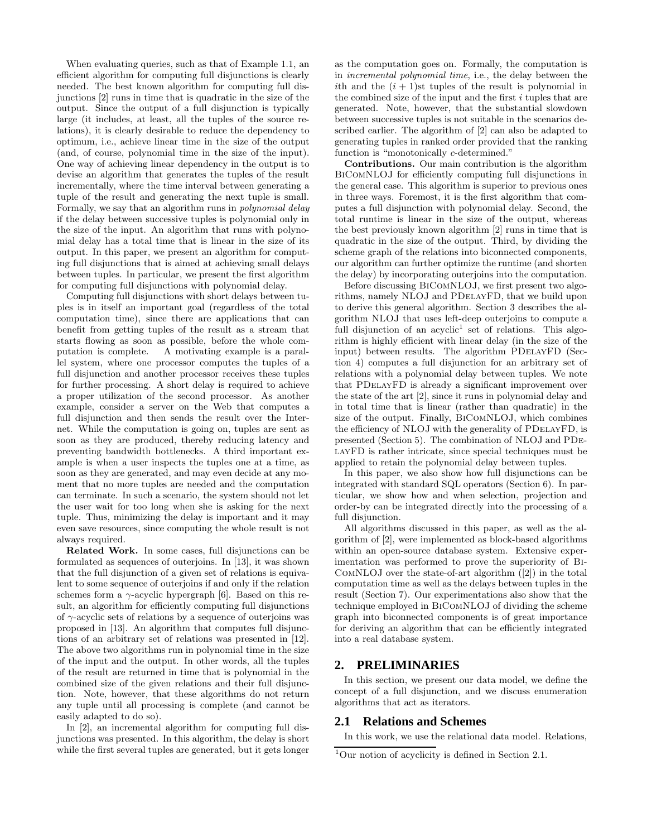When evaluating queries, such as that of Example 1.1, an efficient algorithm for computing full disjunctions is clearly needed. The best known algorithm for computing full disjunctions [2] runs in time that is quadratic in the size of the output. Since the output of a full disjunction is typically large (it includes, at least, all the tuples of the source relations), it is clearly desirable to reduce the dependency to optimum, i.e., achieve linear time in the size of the output (and, of course, polynomial time in the size of the input). One way of achieving linear dependency in the output is to devise an algorithm that generates the tuples of the result incrementally, where the time interval between generating a tuple of the result and generating the next tuple is small. Formally, we say that an algorithm runs in polynomial delay if the delay between successive tuples is polynomial only in the size of the input. An algorithm that runs with polynomial delay has a total time that is linear in the size of its output. In this paper, we present an algorithm for computing full disjunctions that is aimed at achieving small delays between tuples. In particular, we present the first algorithm for computing full disjunctions with polynomial delay.

Computing full disjunctions with short delays between tuples is in itself an important goal (regardless of the total computation time), since there are applications that can benefit from getting tuples of the result as a stream that starts flowing as soon as possible, before the whole computation is complete. A motivating example is a parallel system, where one processor computes the tuples of a full disjunction and another processor receives these tuples for further processing. A short delay is required to achieve a proper utilization of the second processor. As another example, consider a server on the Web that computes a full disjunction and then sends the result over the Internet. While the computation is going on, tuples are sent as soon as they are produced, thereby reducing latency and preventing bandwidth bottlenecks. A third important example is when a user inspects the tuples one at a time, as soon as they are generated, and may even decide at any moment that no more tuples are needed and the computation can terminate. In such a scenario, the system should not let the user wait for too long when she is asking for the next tuple. Thus, minimizing the delay is important and it may even save resources, since computing the whole result is not always required.

Related Work. In some cases, full disjunctions can be formulated as sequences of outerjoins. In [13], it was shown that the full disjunction of a given set of relations is equivalent to some sequence of outerjoins if and only if the relation schemes form a  $\gamma$ -acyclic hypergraph [6]. Based on this result, an algorithm for efficiently computing full disjunctions of  $\gamma$ -acyclic sets of relations by a sequence of outerjoins was proposed in [13]. An algorithm that computes full disjunctions of an arbitrary set of relations was presented in [12]. The above two algorithms run in polynomial time in the size of the input and the output. In other words, all the tuples of the result are returned in time that is polynomial in the combined size of the given relations and their full disjunction. Note, however, that these algorithms do not return any tuple until all processing is complete (and cannot be easily adapted to do so).

In [2], an incremental algorithm for computing full disjunctions was presented. In this algorithm, the delay is short while the first several tuples are generated, but it gets longer as the computation goes on. Formally, the computation is in incremental polynomial time, i.e., the delay between the ith and the  $(i + 1)$ st tuples of the result is polynomial in the combined size of the input and the first  $i$  tuples that are generated. Note, however, that the substantial slowdown between successive tuples is not suitable in the scenarios described earlier. The algorithm of [2] can also be adapted to generating tuples in ranked order provided that the ranking function is "monotonically c-determined."

Contributions. Our main contribution is the algorithm BiComNLOJ for efficiently computing full disjunctions in the general case. This algorithm is superior to previous ones in three ways. Foremost, it is the first algorithm that computes a full disjunction with polynomial delay. Second, the total runtime is linear in the size of the output, whereas the best previously known algorithm [2] runs in time that is quadratic in the size of the output. Third, by dividing the scheme graph of the relations into biconnected components, our algorithm can further optimize the runtime (and shorten the delay) by incorporating outerjoins into the computation.

Before discussing BiComNLOJ, we first present two algorithms, namely NLOJ and PDelayFD, that we build upon to derive this general algorithm. Section 3 describes the algorithm NLOJ that uses left-deep outerjoins to compute a full disjunction of an  $acyclic<sup>1</sup>$  set of relations. This algorithm is highly efficient with linear delay (in the size of the input) between results. The algorithm PDELAYFD (Section 4) computes a full disjunction for an arbitrary set of relations with a polynomial delay between tuples. We note that PDelayFD is already a significant improvement over the state of the art [2], since it runs in polynomial delay and in total time that is linear (rather than quadratic) in the size of the output. Finally, BiComNLOJ, which combines the efficiency of NLOJ with the generality of PDelayFD, is presented (Section 5). The combination of NLOJ and PDelayFD is rather intricate, since special techniques must be applied to retain the polynomial delay between tuples.

In this paper, we also show how full disjunctions can be integrated with standard SQL operators (Section 6). In particular, we show how and when selection, projection and order-by can be integrated directly into the processing of a full disjunction.

All algorithms discussed in this paper, as well as the algorithm of [2], were implemented as block-based algorithms within an open-source database system. Extensive experimentation was performed to prove the superiority of Bi-ComNLOJ over the state-of-art algorithm ([2]) in the total computation time as well as the delays between tuples in the result (Section 7). Our experimentations also show that the technique employed in BiComNLOJ of dividing the scheme graph into biconnected components is of great importance for deriving an algorithm that can be efficiently integrated into a real database system.

## **2. PRELIMINARIES**

In this section, we present our data model, we define the concept of a full disjunction, and we discuss enumeration algorithms that act as iterators.

## **2.1 Relations and Schemes**

In this work, we use the relational data model. Relations,

 $1$ Our notion of acyclicity is defined in Section 2.1.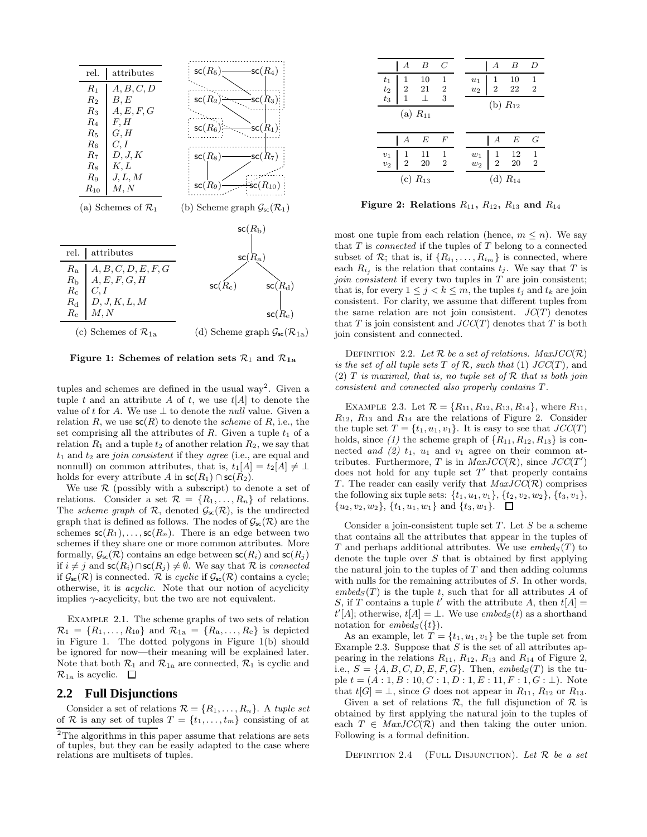

Figure 1: Schemes of relation sets  $\mathcal{R}_1$  and  $\mathcal{R}_{1a}$ 

tuples and schemes are defined in the usual way<sup>2</sup>. Given a tuple t and an attribute A of t, we use  $t[A]$  to denote the value of t for A. We use  $\perp$  to denote the *null* value. Given a relation  $R$ , we use  $\mathsf{sc}(R)$  to denote the *scheme* of  $R$ , i.e., the set comprising all the attributes of  $R$ . Given a tuple  $t_1$  of a relation  $R_1$  and a tuple  $t_2$  of another relation  $R_2$ , we say that  $t_1$  and  $t_2$  are *join consistent* if they *agree* (i.e., are equal and nonnull) on common attributes, that is,  $t_1[A] = t_2[A] \neq \perp$ holds for every attribute A in  $\mathsf{sc}(R_1) \cap \mathsf{sc}(R_2)$ .

We use  $\mathcal R$  (possibly with a subscript) to denote a set of relations. Consider a set  $\mathcal{R} = \{R_1, \ldots, R_n\}$  of relations. The scheme graph of  $\mathcal{R}$ , denoted  $\mathcal{G}_{\text{sc}}(\mathcal{R})$ , is the undirected graph that is defined as follows. The nodes of  $\mathcal{G}_{\text{sc}}(\mathcal{R})$  are the schemes  $\mathsf{sc}(R_1), \ldots, \mathsf{sc}(R_n)$ . There is an edge between two schemes if they share one or more common attributes. More formally,  $\mathcal{G}_{\mathsf{sc}}(\mathcal{R})$  contains an edge between  $\mathsf{sc}(R_i)$  and  $\mathsf{sc}(R_j)$ if  $i \neq j$  and  $\mathsf{sc}(R_i) \cap \mathsf{sc}(R_j) \neq \emptyset$ . We say that R is connected if  $\mathcal{G}_{\text{sc}}(\mathcal{R})$  is connected.  $\mathcal R$  is cyclic if  $\mathcal{G}_{\text{sc}}(\mathcal{R})$  contains a cycle; otherwise, it is acyclic. Note that our notion of acyclicity implies  $\gamma$ -acyclicity, but the two are not equivalent.

Example 2.1. The scheme graphs of two sets of relation  $\mathcal{R}_1 = \{R_1, \ldots, R_{10}\}\$ and  $\mathcal{R}_{1a} = \{R_a, \ldots, R_e\}\$ is depicted in Figure 1. The dotted polygons in Figure 1(b) should be ignored for now—their meaning will be explained later. Note that both  $\mathcal{R}_1$  and  $\mathcal{R}_{1a}$  are connected,  $\mathcal{R}_1$  is cyclic and  $\mathcal{R}_{1a}$  is acyclic.  $\Box$ 

#### **2.2 Full Disjunctions**

Consider a set of relations  $\mathcal{R} = \{R_1, \ldots, R_n\}$ . A tuple set of R is any set of tuples  $T = \{t_1, \ldots, t_m\}$  consisting of at

| В<br>А                                                                                                 | $\,C$              |                                           | А                | B               | D                              |
|--------------------------------------------------------------------------------------------------------|--------------------|-------------------------------------------|------------------|-----------------|--------------------------------|
| 10<br>$\mathbf{1}$<br>$\frac{t_1}{t_2}$<br>$\frac{t_3}{t_3}$<br>$\overline{2}$<br>- 21<br>$\mathbf{1}$ | 1<br>$\frac{2}{3}$ | $\begin{array}{c} u_1 \\ u_2 \end{array}$ | $\frac{1}{2}$    | 10<br>22        | 1<br>$\overline{2}$            |
| (a) $R_{11}$                                                                                           |                    |                                           | (b) $R_{12}$     |                 |                                |
| E<br>А                                                                                                 | F                  |                                           | $\boldsymbol{A}$ | E               | G                              |
| 11<br>$\begin{array}{c} v_1 \\ v_2 \end{array}$<br>$\frac{1}{2}$<br>20                                 | $\frac{1}{2}$      | $\boldsymbol{w}_1$<br>$\overline{w_2}$    | $\frac{1}{2}$    | $\frac{12}{20}$ | $\mathbf{1}$<br>$\overline{2}$ |
| (c) $R_{13}$                                                                                           |                    |                                           | (d)              | $R_{14}$        |                                |

Figure 2: Relations  $R_{11}$ ,  $R_{12}$ ,  $R_{13}$  and  $R_{14}$ 

most one tuple from each relation (hence,  $m \leq n$ ). We say that  $T$  is *connected* if the tuples of  $T$  belong to a connected subset of  $\mathcal{R}$ ; that is, if  $\{R_{i_1}, \ldots, R_{i_m}\}$  is connected, where each  $R_{i_j}$  is the relation that contains  $t_j$ . We say that T is join consistent if every two tuples in  $T$  are join consistent; that is, for every  $1 \leq j < k \leq m$ , the tuples  $t_j$  and  $t_k$  are join consistent. For clarity, we assume that different tuples from the same relation are not join consistent.  $JC(T)$  denotes that T is join consistent and  $JCC(T)$  denotes that T is both join consistent and connected.

DEFINITION 2.2. Let  $\mathcal R$  be a set of relations. MaxJCC( $\mathcal R$ ) is the set of all tuple sets T of R, such that (1)  $JCC(T)$ , and (2)  $T$  is maximal, that is, no tuple set of  $R$  that is both join consistent and connected also properly contains T.

EXAMPLE 2.3. Let  $\mathcal{R} = \{R_{11}, R_{12}, R_{13}, R_{14}\}$ , where  $R_{11}$ ,  $R_{12}$ ,  $R_{13}$  and  $R_{14}$  are the relations of Figure 2. Consider the tuple set  $T = \{t_1, u_1, v_1\}$ . It is easy to see that  $JCC(T)$ holds, since  $(1)$  the scheme graph of  $\{R_{11}, R_{12}, R_{13}\}$  is connected and  $(2)$   $t_1$ ,  $u_1$  and  $v_1$  agree on their common attributes. Furthermore, T is in  $MaxJCC(\mathcal{R})$ , since  $JCC(T')$ does not hold for any tuple set  $T'$  that properly contains T. The reader can easily verify that  $MaxJCC(\mathcal{R})$  comprises the following six tuple sets:  $\{t_1, u_1, v_1\}, \{t_2, v_2, w_2\}, \{t_3, v_1\},\$  $\{u_2, v_2, w_2\}, \{t_1, u_1, w_1\}$  and  $\{t_3, w_1\}.$   $\Box$ 

Consider a join-consistent tuple set  $T$ . Let  $S$  be a scheme that contains all the attributes that appear in the tuples of T and perhaps additional attributes. We use  $embed_S(T)$  to denote the tuple over  $S$  that is obtained by first applying the natural join to the tuples of  $T$  and then adding columns with nulls for the remaining attributes of S. In other words,  $embed_S(T)$  is the tuple t, such that for all attributes A of S, if T contains a tuple t' with the attribute A, then  $t[A] =$  $t'[A]$ ; otherwise,  $t[A] = \perp$ . We use *embed*<sub>S</sub>(*t*) as a shorthand notation for  $embed_S({t})$ .

As an example, let  $T = \{t_1, u_1, v_1\}$  be the tuple set from Example 2.3. Suppose that  $S$  is the set of all attributes appearing in the relations  $R_{11}$ ,  $R_{12}$ ,  $R_{13}$  and  $R_{14}$  of Figure 2, i.e.,  $S = \{A, B, C, D, E, F, G\}$ . Then, embed<sub>S</sub>(T) is the tuple  $t = (A:1, B:10, C:1, D:1, E:11, F:1, G: \bot)$ . Note that  $t[G] = \perp$ , since G does not appear in  $R_{11}$ ,  $R_{12}$  or  $R_{13}$ .

Given a set of relations  $\mathcal{R}$ , the full disjunction of  $\mathcal{R}$  is obtained by first applying the natural join to the tuples of each  $T \in \text{MaxJCC}(\mathcal{R})$  and then taking the outer union. Following is a formal definition.

DEFINITION 2.4 (FULL DISJUNCTION). Let  $\mathcal R$  be a set

<sup>&</sup>lt;sup>2</sup>The algorithms in this paper assume that relations are sets of tuples, but they can be easily adapted to the case where relations are multisets of tuples.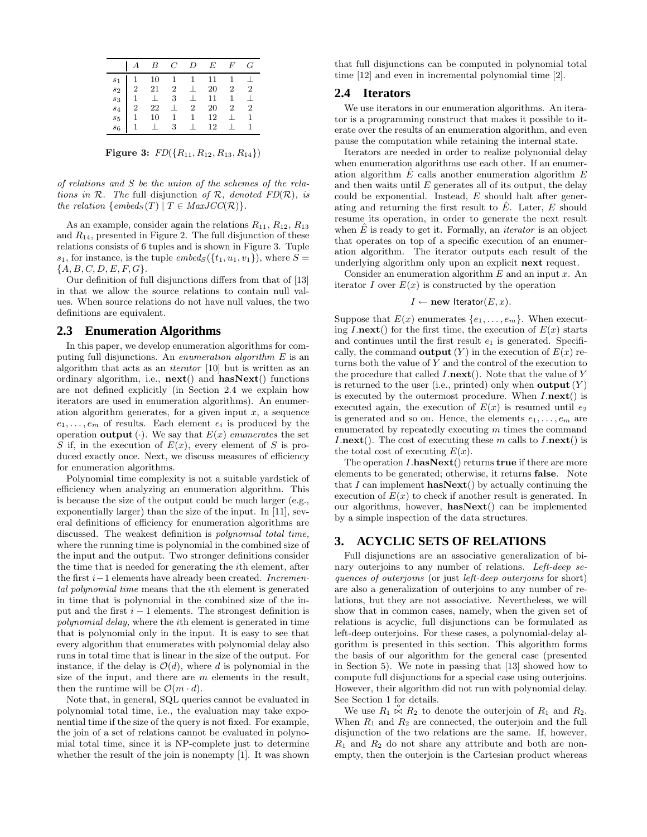|         | $A$ $B$ $C$ $D$ $E$ $F$ $G$                                                                                                                                                                                                                            |         |                  |  |
|---------|--------------------------------------------------------------------------------------------------------------------------------------------------------------------------------------------------------------------------------------------------------|---------|------------------|--|
|         | $\begin{array}{c cccccc} s_1 & 1 & 10 & 1 & 1 & 11 & 1 & \perp \\ s_2 & 2 & 21 & 2 & \perp & 20 & 2 & 2 \\ s_3 & 1 & \perp & 3 & \perp & 11 & 1 & \perp \\ s_4 & 2 & 22 & \perp & 2 & 20 & 2 & 2 \\ s_5 & 1 & 10 & 1 & 1 & 12 & \perp & 1 \end{array}$ |         |                  |  |
|         |                                                                                                                                                                                                                                                        |         |                  |  |
|         |                                                                                                                                                                                                                                                        |         |                  |  |
|         |                                                                                                                                                                                                                                                        |         |                  |  |
| $s_5$   |                                                                                                                                                                                                                                                        |         |                  |  |
| $s_{6}$ | $1 \perp \overline{3}$                                                                                                                                                                                                                                 | $\perp$ | 12 <sup>12</sup> |  |

**Figure 3:**  $FD({R_{11}, R_{12}, R_{13}, R_{14}})$ 

of relations and S be the union of the schemes of the relations in  $\mathcal R$ . The full disjunction of  $\mathcal R$ , denoted  $FD(\mathcal R)$ , is the relation  $\{embed_S(T) | T \in MaxJCC(\mathcal{R})\}.$ 

As an example, consider again the relations  $R_{11}$ ,  $R_{12}$ ,  $R_{13}$ and  $R_{14}$ , presented in Figure 2. The full disjunction of these relations consists of 6 tuples and is shown in Figure 3. Tuple  $s_1$ , for instance, is the tuple  $embeds({t_1, u_1, v_1})$ , where  $S =$  ${A, B, C, D, E, F, G}.$ 

Our definition of full disjunctions differs from that of [13] in that we allow the source relations to contain null values. When source relations do not have null values, the two definitions are equivalent.

#### **2.3 Enumeration Algorithms**

In this paper, we develop enumeration algorithms for computing full disjunctions. An enumeration algorithm E is an algorithm that acts as an iterator [10] but is written as an ordinary algorithm, i.e., next() and hasNext() functions are not defined explicitly (in Section 2.4 we explain how iterators are used in enumeration algorithms). An enumeration algorithm generates, for a given input  $x$ , a sequence  $e_1, \ldots, e_m$  of results. Each element  $e_i$  is produced by the operation **output** (·). We say that  $E(x)$  enumerates the set S if, in the execution of  $E(x)$ , every element of S is produced exactly once. Next, we discuss measures of efficiency for enumeration algorithms.

Polynomial time complexity is not a suitable yardstick of efficiency when analyzing an enumeration algorithm. This is because the size of the output could be much larger (e.g., exponentially larger) than the size of the input. In [11], several definitions of efficiency for enumeration algorithms are discussed. The weakest definition is polynomial total time, where the running time is polynomial in the combined size of the input and the output. Two stronger definitions consider the time that is needed for generating the ith element, after the first i−1 elements have already been created. Incremental polynomial time means that the ith element is generated in time that is polynomial in the combined size of the input and the first  $i - 1$  elements. The strongest definition is polynomial delay, where the ith element is generated in time that is polynomial only in the input. It is easy to see that every algorithm that enumerates with polynomial delay also runs in total time that is linear in the size of the output. For instance, if the delay is  $\mathcal{O}(d)$ , where d is polynomial in the size of the input, and there are  $m$  elements in the result, then the runtime will be  $\mathcal{O}(m \cdot d)$ .

Note that, in general, SQL queries cannot be evaluated in polynomial total time, i.e., the evaluation may take exponential time if the size of the query is not fixed. For example, the join of a set of relations cannot be evaluated in polynomial total time, since it is NP-complete just to determine whether the result of the join is nonempty [1]. It was shown that full disjunctions can be computed in polynomial total time [12] and even in incremental polynomial time [2].

#### **2.4 Iterators**

We use iterators in our enumeration algorithms. An iterator is a programming construct that makes it possible to iterate over the results of an enumeration algorithm, and even pause the computation while retaining the internal state.

Iterators are needed in order to realize polynomial delay when enumeration algorithms use each other. If an enumeration algorithm  $\hat{E}$  calls another enumeration algorithm  $E$ and then waits until  $E$  generates all of its output, the delay could be exponential. Instead,  $E$  should halt after generating and returning the first result to  $\hat{E}$ . Later,  $E$  should resume its operation, in order to generate the next result when  $\hat{E}$  is ready to get it. Formally, an *iterator* is an object that operates on top of a specific execution of an enumeration algorithm. The iterator outputs each result of the underlying algorithm only upon an explicit next request.

Consider an enumeration algorithm  $E$  and an input  $x$ . An iterator I over  $E(x)$  is constructed by the operation

$$
I \leftarrow \textbf{new Iterator}(E, x).
$$

Suppose that  $E(x)$  enumerates  $\{e_1, \ldots, e_m\}$ . When executing  $I.next()$  for the first time, the execution of  $E(x)$  starts and continues until the first result  $e_1$  is generated. Specifically, the command **output**  $(Y)$  in the execution of  $E(x)$  returns both the value of Y and the control of the execution to the procedure that called  $I.next()$ . Note that the value of Y is returned to the user (i.e., printed) only when **output**  $(Y)$ is executed by the outermost procedure. When  $I.next()$  is executed again, the execution of  $E(x)$  is resumed until  $e_2$ is generated and so on. Hence, the elements  $e_1, \ldots, e_m$  are enumerated by repeatedly executing  $m$  times the command *I.next().* The cost of executing these m calls to  $I.next()$  is the total cost of executing  $E(x)$ .

The operation  $I.\textbf{hasNext}()$  returns true if there are more elements to be generated; otherwise, it returns false. Note that I can implement **hasNext**() by actually continuing the execution of  $E(x)$  to check if another result is generated. In our algorithms, however, hasNext() can be implemented by a simple inspection of the data structures.

#### **3. ACYCLIC SETS OF RELATIONS**

Full disjunctions are an associative generalization of binary outerjoins to any number of relations. Left-deep sequences of outerjoins (or just left-deep outerjoins for short) are also a generalization of outerjoins to any number of relations, but they are not associative. Nevertheless, we will show that in common cases, namely, when the given set of relations is acyclic, full disjunctions can be formulated as left-deep outerjoins. For these cases, a polynomial-delay algorithm is presented in this section. This algorithm forms the basis of our algorithm for the general case (presented in Section 5). We note in passing that [13] showed how to compute full disjunctions for a special case using outerjoins. However, their algorithm did not run with polynomial delay. See Section 1 for details.

We use  $R_1 \rhd R_2$  to denote the outerjoin of  $R_1$  and  $R_2$ . When  $R_1$  and  $R_2$  are connected, the outerjoin and the full disjunction of the two relations are the same. If, however,  $R_1$  and  $R_2$  do not share any attribute and both are nonempty, then the outerjoin is the Cartesian product whereas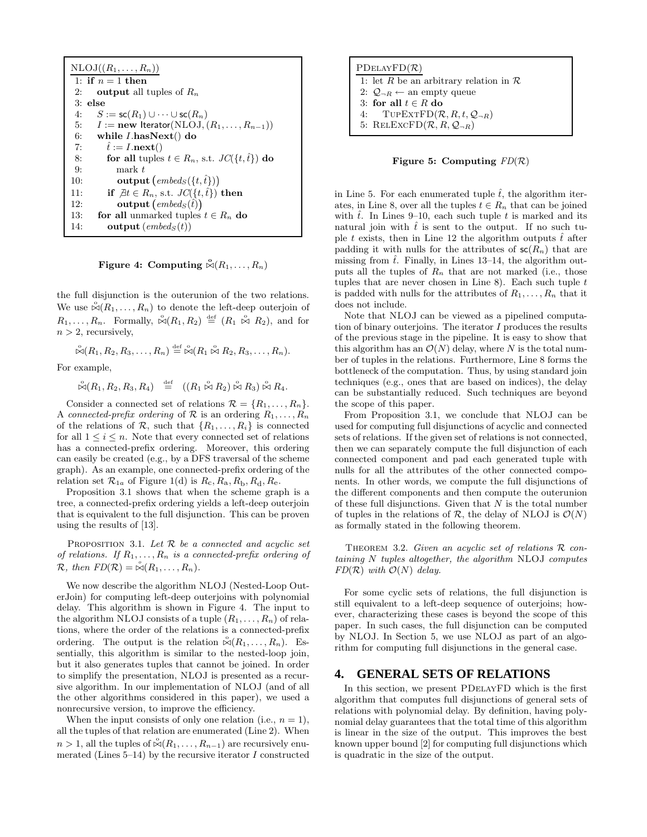| $NLOJ((R_1,\ldots,R_n))$                                        |  |  |
|-----------------------------------------------------------------|--|--|
| 1: if $n=1$ then                                                |  |  |
| output all tuples of $R_n$<br>2:                                |  |  |
| $3:$ else                                                       |  |  |
| $S := \mathsf{sc}(R_1) \cup \cdots \cup \mathsf{sc}(R_n)$<br>4: |  |  |
| 5: $I := new$ Iterator(NLOJ, $(R_1, \ldots, R_{n-1})$ )         |  |  |
| 6:<br>while $I$ has $Next()$ do                                 |  |  |
| $\tilde{t} := I \cdot \textbf{next}()$<br>7:                    |  |  |
| for all tuples $t \in R_n$ , s.t. $JC(\{t, \hat{t}\})$ do<br>8: |  |  |
| mark t<br>9:                                                    |  |  |
| output $(embed_S({t, \hat{t}}))$<br>10:                         |  |  |
| if $\exists t \in R_n$ , s.t. $JC(\{t, \hat{t}\})$ then<br>11:  |  |  |
| <b>output</b> $(embeds(\hat{t}))$<br>12:                        |  |  |
| for all unmarked tuples $t \in R_n$ do<br>13:                   |  |  |
| <b>output</b> $(embed_S(t))$<br>14:                             |  |  |

Figure 4: Computing  $\overset{\circ}{\bowtie} (R_1, \ldots, R_n)$ 

the full disjunction is the outerunion of the two relations. We use  $\overset{\circ}{\bowtie} (R_1, \ldots, R_n)$  to denote the left-deep outerjoin of  $R_1, \ldots, R_n$ . Formally,  $\stackrel{\circ}{\bowtie} (R_1, R_2) \stackrel{\text{def}}{=} (R_1 \stackrel{\circ}{\bowtie} R_2)$ , and for  $n > 2$ , recursively,

 $\mathbb{S}(R_1, R_2, R_3, \ldots, R_n) \stackrel{\text{def}}{=} \mathbb{S}(R_1 \stackrel{\circ}{\bowtie} R_2, R_3, \ldots, R_n).$ 

For example,

 $\overset{\circ}{\bowtie} (R_1, R_2, R_3, R_4) \stackrel{\text{def}}{=} ((R_1 \overset{\circ}{\bowtie} R_2) \overset{\circ}{\bowtie} R_3) \overset{\circ}{\bowtie} R_4.$ 

Consider a connected set of relations  $\mathcal{R} = \{R_1, \ldots, R_n\}.$ A connected-prefix ordering of R is an ordering  $R_1, \ldots, R_n$ of the relations of R, such that  $\{R_1, \ldots, R_i\}$  is connected for all  $1 \leq i \leq n$ . Note that every connected set of relations has a connected-prefix ordering. Moreover, this ordering can easily be created (e.g., by a DFS traversal of the scheme graph). As an example, one connected-prefix ordering of the relation set  $\mathcal{R}_{1a}$  of Figure 1(d) is  $R_c$ ,  $R_a$ ,  $R_b$ ,  $R_d$ ,  $R_e$ .

Proposition 3.1 shows that when the scheme graph is a tree, a connected-prefix ordering yields a left-deep outerjoin that is equivalent to the full disjunction. This can be proven using the results of [13].

PROPOSITION 3.1. Let  $R$  be a connected and acyclic set of relations. If  $R_1, \ldots, R_n$  is a connected-prefix ordering of  $\mathcal{R},$  then  $FD(\mathcal{R}) = \mathcal{A}(R_1, \ldots, R_n).$ 

We now describe the algorithm NLOJ (Nested-Loop OuterJoin) for computing left-deep outerjoins with polynomial delay. This algorithm is shown in Figure 4. The input to the algorithm NLOJ consists of a tuple  $(R_1, \ldots, R_n)$  of relations, where the order of the relations is a connected-prefix ordering. The output is the relation  $\overset{\circ}{\bowtie} (R_1, \ldots, R_n)$ . Essentially, this algorithm is similar to the nested-loop join, but it also generates tuples that cannot be joined. In order to simplify the presentation, NLOJ is presented as a recursive algorithm. In our implementation of NLOJ (and of all the other algorithms considered in this paper), we used a nonrecursive version, to improve the efficiency.

When the input consists of only one relation (i.e.,  $n = 1$ ), all the tuples of that relation are enumerated (Line 2). When  $n > 1$ , all the tuples of  $\overset{\circ}{\bowtie} (R_1, \ldots, R_{n-1})$  are recursively enumerated (Lines  $5-14$ ) by the recursive iterator I constructed

| PDELAYFD(R)                                       |
|---------------------------------------------------|
| 1: let R be an arbitrary relation in $\mathcal R$ |
| 2: $Q_{\neg R} \leftarrow$ an empty queue         |
| 3: for all $t \in R$ do                           |
| 4: TUPEXTFD $(R, R, t, Q_{\neg R})$               |
| 5: RELEXCFD $(\mathcal{R}, R, Q_{\neg R})$        |



in Line 5. For each enumerated tuple  $\hat{t}$ , the algorithm iterates, in Line 8, over all the tuples  $t \in R_n$  that can be joined with  $\hat{t}$ . In Lines 9–10, each such tuple t is marked and its natural join with  $\hat{t}$  is sent to the output. If no such tuple t exists, then in Line 12 the algorithm outputs  $\hat{t}$  after padding it with nulls for the attributes of  $\mathsf{sc}(R_n)$  that are missing from  $\hat{t}$ . Finally, in Lines 13–14, the algorithm outputs all the tuples of  $R_n$  that are not marked (i.e., those tuples that are never chosen in Line 8). Each such tuple  $t$ is padded with nulls for the attributes of  $R_1, \ldots, R_n$  that it does not include.

Note that NLOJ can be viewed as a pipelined computation of binary outerjoins. The iterator I produces the results of the previous stage in the pipeline. It is easy to show that this algorithm has an  $\mathcal{O}(N)$  delay, where N is the total number of tuples in the relations. Furthermore, Line 8 forms the bottleneck of the computation. Thus, by using standard join techniques (e.g., ones that are based on indices), the delay can be substantially reduced. Such techniques are beyond the scope of this paper.

From Proposition 3.1, we conclude that NLOJ can be used for computing full disjunctions of acyclic and connected sets of relations. If the given set of relations is not connected, then we can separately compute the full disjunction of each connected component and pad each generated tuple with nulls for all the attributes of the other connected components. In other words, we compute the full disjunctions of the different components and then compute the outerunion of these full disjunctions. Given that  $N$  is the total number of tuples in the relations of R, the delay of NLOJ is  $\mathcal{O}(N)$ as formally stated in the following theorem.

THEOREM 3.2. Given an acyclic set of relations  $\mathcal R$  containing N tuples altogether, the algorithm NLOJ computes  $FD(R)$  with  $\mathcal{O}(N)$  delay.

For some cyclic sets of relations, the full disjunction is still equivalent to a left-deep sequence of outerjoins; however, characterizing these cases is beyond the scope of this paper. In such cases, the full disjunction can be computed by NLOJ. In Section 5, we use NLOJ as part of an algorithm for computing full disjunctions in the general case.

### **4. GENERAL SETS OF RELATIONS**

In this section, we present PDelayFD which is the first algorithm that computes full disjunctions of general sets of relations with polynomial delay. By definition, having polynomial delay guarantees that the total time of this algorithm is linear in the size of the output. This improves the best known upper bound [2] for computing full disjunctions which is quadratic in the size of the output.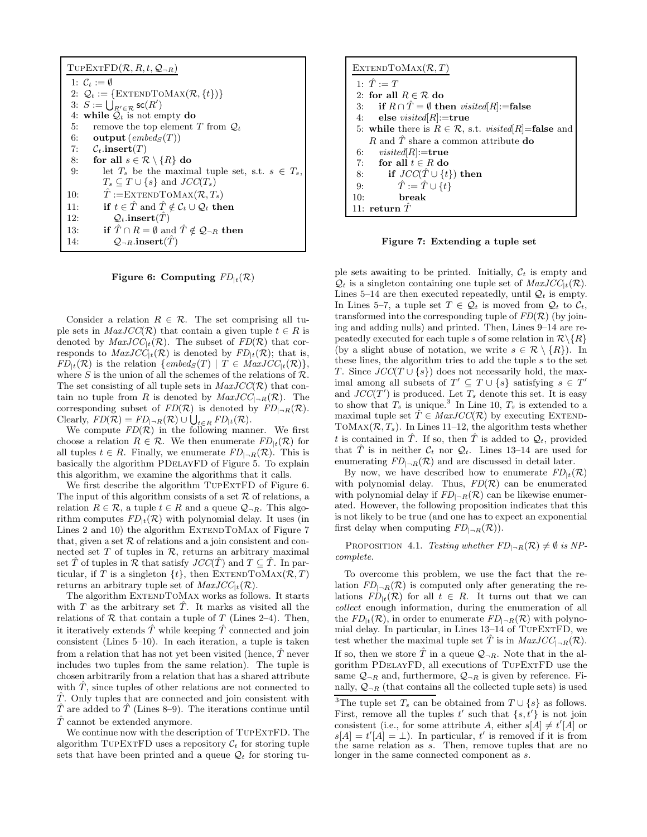| $T$ UPEXTFD $(R, R, t, Q_{\neg R})$                                                   |
|---------------------------------------------------------------------------------------|
| 1: $C_t := \emptyset$                                                                 |
| 2: $\mathcal{Q}_t := \{ \text{EXTENDToMax}(\mathcal{R}, \{t\}) \}$                    |
| 3: $S := \bigcup_{R' \in \mathcal{R}} \mathsf{sc}(R')$                                |
| 4: while $\mathcal{Q}_t$ is not empty do                                              |
| remove the top element T from $\mathcal{Q}_t$<br>5:                                   |
| 6:<br><b>output</b> ( <i>embed<sub>S</sub></i> $(T)$ )                                |
| 7:<br>$\mathcal{C}_t$ .insert $(T)$                                                   |
| for all $s \in \mathcal{R} \setminus \{R\}$ do<br>8:                                  |
| 9:<br>let $T_s$ be the maximal tuple set, s.t. $s \in T_s$ ,                          |
| $T_s \subset T \cup \{s\}$ and $JCC(T_s)$                                             |
| $T := \text{EXTENDToMAX}(\mathcal{R}, T_s)$<br>10:                                    |
| if $t \in \hat{T}$ and $\hat{T} \notin \mathcal{C}_t \cup \mathcal{Q}_t$ then<br>11:  |
| $Q_t$ .insert $(T)$<br>12:                                                            |
| if $\hat{T} \cap R = \emptyset$ and $\hat{T} \notin \mathcal{Q}_{\neg R}$ then<br>13: |
| $\mathcal{Q}_{\neg R}$ .insert $(T)$<br>14:                                           |

Figure 6: Computing  $FD_{|t}(\mathcal{R})$ 

Consider a relation  $R \in \mathcal{R}$ . The set comprising all tuple sets in  $MaxJCC(\mathcal{R})$  that contain a given tuple  $t \in \mathcal{R}$  is denoted by  $MaxJCC_{1t}(\mathcal{R})$ . The subset of  $FD(\mathcal{R})$  that corresponds to  $MaxJCC_{1t}(\mathcal{R})$  is denoted by  $FD_{1t}(\mathcal{R})$ ; that is,  $FD_{t}(\mathcal{R})$  is the relation  $\{embed_S(T) | T \in MaxJCC_{t}(\mathcal{R})\},\$ where S is the union of all the schemes of the relations of  $\mathcal{R}$ . The set consisting of all tuple sets in  $MaxJCC(\mathcal{R})$  that contain no tuple from R is denoted by  $MaxJCC_{|-R}(\mathcal{R})$ . The corresponding subset of  $FD(\mathcal{R})$  is denoted by  $FD_{\Box R}(\mathcal{R})$ . Clearly,  $FD(\mathcal{R}) = FD_{|\neg R}(\mathcal{R}) \cup \bigcup_{t \in R} FD_{|t}(\mathcal{R}).$ 

We compute  $FD(R)$  in the following manner. We first choose a relation  $R \in \mathcal{R}$ . We then enumerate  $FD_{|t}(\mathcal{R})$  for all tuples  $t \in R$ . Finally, we enumerate  $FD_{\vert \neg R}(\mathcal{R})$ . This is basically the algorithm PDelayFD of Figure 5. To explain this algorithm, we examine the algorithms that it calls.

We first describe the algorithm TUPEXTFD of Figure 6. The input of this algorithm consists of a set  $\mathcal R$  of relations, a relation  $R \in \mathcal{R}$ , a tuple  $t \in R$  and a queue  $\mathcal{Q}_{\neg R}$ . This algorithm computes  $FD_{t}(\mathcal{R})$  with polynomial delay. It uses (in Lines 2 and 10) the algorithm EXTENDTOMAX of Figure 7 that, given a set  $R$  of relations and a join consistent and connected set  $T$  of tuples in  $R$ , returns an arbitrary maximal set  $\hat{T}$  of tuples in  $\mathcal R$  that satisfy  $JCC(\hat{T})$  and  $T \subseteq \hat{T}$ . In particular, if T is a singleton  $\{t\}$ , then EXTENDTOMAX( $\mathcal{R}, T$ ) returns an arbitrary tuple set of  $MaxJCC_{1t}(\mathcal{R})$ .

The algorithm EXTENDTOMAX works as follows. It starts with T as the arbitrary set  $\hat{T}$ . It marks as visited all the relations of  $R$  that contain a tuple of  $T$  (Lines 2–4). Then, it iteratively extends  $\hat{T}$  while keeping  $\hat{T}$  connected and join consistent (Lines 5–10). In each iteration, a tuple is taken from a relation that has not yet been visited (hence,  $\hat{T}$  never includes two tuples from the same relation). The tuple is chosen arbitrarily from a relation that has a shared attribute with  $\ddot{T}$ , since tuples of other relations are not connected to  $\hat{T}$ . Only tuples that are connected and join consistent with  $\hat{T}$  are added to  $\hat{T}$  (Lines 8–9). The iterations continue until  $T$  cannot be extended anymore.

We continue now with the description of TUPEXTFD. The algorithm TUPEXTFD uses a repository  $C_t$  for storing tuple sets that have been printed and a queue  $\mathcal{Q}_t$  for storing tu-

| EXTENDTOMAX $(\mathcal{R}, T)$                                                |
|-------------------------------------------------------------------------------|
| 1: $\hat{T} := T$                                                             |
| 2: for all $R \in \mathcal{R}$ do                                             |
| 3: if $R \cap \hat{T} = \emptyset$ then <i>visited</i> [ <i>R</i> ]:=false    |
| 4: else <i>visited</i> [ $R$ ]:=true                                          |
| 5: while there is $R \in \mathcal{R}$ , s.t. <i>visited</i> $ R $ = false and |
| R and $\hat{T}$ share a common attribute <b>do</b>                            |
| 6: $visited[R] := true$                                                       |
| 7: for all $t \in R$ do                                                       |
| if $JCC(\hat{T} \cup \{t\})$ then<br>8:                                       |
| $\hat{T} := \hat{T} \cup \{t\}$<br>9:                                         |
| 10:<br><b>break</b>                                                           |
| 11: return $T$                                                                |

Figure 7: Extending a tuple set

ple sets awaiting to be printed. Initially,  $\mathcal{C}_t$  is empty and  $\mathcal{Q}_t$  is a singleton containing one tuple set of  $MaxJCC_{1t}(\mathcal{R})$ . Lines 5–14 are then executed repeatedly, until  $\mathcal{Q}_t$  is empty. In Lines 5–7, a tuple set  $T \in \mathcal{Q}_t$  is moved from  $\mathcal{Q}_t$  to  $\mathcal{C}_t$ , transformed into the corresponding tuple of  $FD(R)$  (by joining and adding nulls) and printed. Then, Lines 9–14 are repeatedly executed for each tuple s of some relation in  $\mathcal{R}\backslash\{R\}$ (by a slight abuse of notation, we write  $s \in \mathcal{R} \setminus \{R\}$ ). In these lines, the algorithm tries to add the tuple  $s$  to the set T. Since  $JCC(T \cup \{s\})$  does not necessarily hold, the maximal among all subsets of  $T' \subseteq T \cup \{s\}$  satisfying  $s \in T'$ and  $JCC(T')$  is produced. Let  $T_s$  denote this set. It is easy to show that  $T_s$  is unique.<sup>3</sup> In Line 10,  $T_s$  is extended to a maximal tuple set  $\hat{T} \in \text{MaxJCC}(\mathcal{R})$  by executing EXTEND-TOMAX $(\mathcal{R}, T_s)$ . In Lines 11–12, the algorithm tests whether t is contained in  $\hat{T}$ . If so, then  $\hat{T}$  is added to  $\mathcal{Q}_t$ , provided that  $\hat{T}$  is in neither  $\mathcal{C}_t$  nor  $\mathcal{Q}_t$ . Lines 13–14 are used for enumerating  $FD_{\vert \neg R}(R)$  and are discussed in detail later.

By now, we have described how to enumerate  $FD_{|t}(\mathcal{R})$ with polynomial delay. Thus,  $FD(R)$  can be enumerated with polynomial delay if  $FD_{\vert \neg R}(R)$  can be likewise enumerated. However, the following proposition indicates that this is not likely to be true (and one has to expect an exponential first delay when computing  $FD_{\vert \neg R}(\mathcal{R})$ .

PROPOSITION 4.1. Testing whether  $FD_{\vert \neg R}(\mathcal{R}) \neq \emptyset$  is NPcomplete.

To overcome this problem, we use the fact that the relation  $FD_{\square R}(\mathcal{R})$  is computed only after generating the relations  $FD_{t}(\mathcal{R})$  for all  $t \in \mathbb{R}$ . It turns out that we can collect enough information, during the enumeration of all the  $FD_{t}(\mathcal{R})$ , in order to enumerate  $FD_{\vert R}(\mathcal{R})$  with polynomial delay. In particular, in Lines 13–14 of TupExtFD, we test whether the maximal tuple set  $\hat{T}$  is in  $MaxJCC_{[-R]}(\mathcal{R})$ . If so, then we store  $\hat{T}$  in a queue  $\mathcal{Q}_{\neg R}$ . Note that in the algorithm PDelayFD, all executions of TupExtFD use the same  $\mathcal{Q}_{\neg R}$  and, furthermore,  $\mathcal{Q}_{\neg R}$  is given by reference. Finally,  $\mathcal{Q}_{\neg R}$  (that contains all the collected tuple sets) is used

<sup>3</sup>The tuple set  $T_s$  can be obtained from  $T \cup \{s\}$  as follows. First, remove all the tuples  $t'$  such that  $\{s, t'\}$  is not join consistent (i.e., for some attribute A, either  $s[A] \neq t'[A]$  or  $s[A] = t'[\overline{A}] = \bot$ ). In particular, t' is removed if it is from the same relation as s. Then, remove tuples that are no longer in the same connected component as s.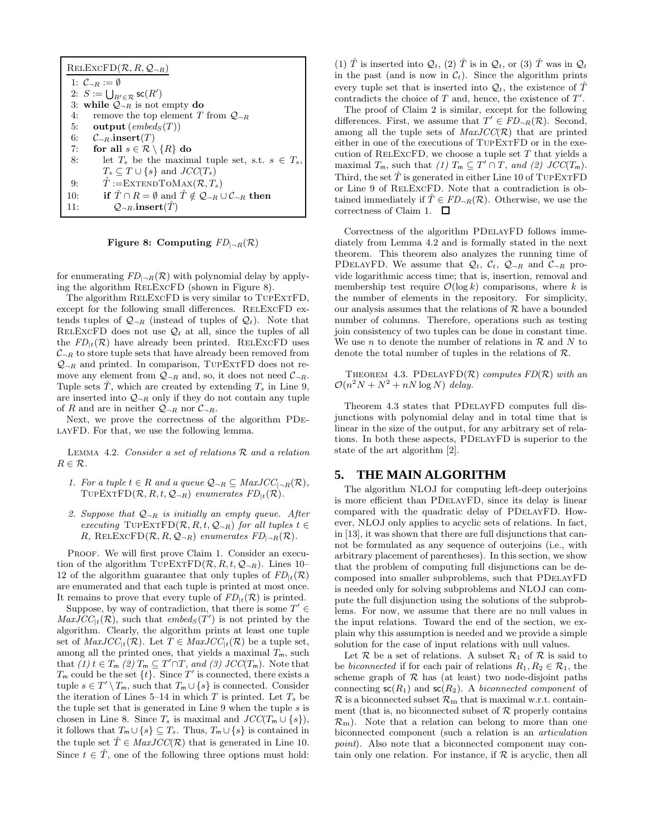| $RELEXCFD(R, R, Q_{\neg R})$                                                                                    |  |  |
|-----------------------------------------------------------------------------------------------------------------|--|--|
| 1: $\mathcal{C}_{\neg B} := \emptyset$                                                                          |  |  |
| 2: $S := \bigcup_{R' \in \mathcal{R}} \mathsf{sc}(R')$                                                          |  |  |
| 3: while $Q_{\neg R}$ is not empty do                                                                           |  |  |
| remove the top element T from $\mathcal{Q}_{\neg R}$<br>4:                                                      |  |  |
| output $(embed_S(T))$<br>5:                                                                                     |  |  |
| 6: $C_{\neg R}$ .insert $(T)$                                                                                   |  |  |
| for all $s \in \mathcal{R} \setminus \{R\}$ do<br>7:                                                            |  |  |
| let $T_s$ be the maximal tuple set, s.t. $s \in T_s$ ,<br>8:                                                    |  |  |
| $T_s \subset T \cup \{s\}$ and $JCC(T_s)$                                                                       |  |  |
| $T := \text{EXTENDToMAX}(\mathcal{R}, T_s)$<br>9:                                                               |  |  |
| if $\hat{T} \cap R = \emptyset$ and $\hat{T} \notin \mathcal{Q}_{\neg R} \cup \mathcal{C}_{\neg R}$ then<br>10: |  |  |
| $Q_{\neg R}$ .insert $(T)$<br>11:                                                                               |  |  |

Figure 8: Computing  $FD_{\vert -R}(\mathcal{R})$ 

for enumerating  $FD_{\vert \neg R}(R)$  with polynomial delay by applying the algorithm RelExcFD (shown in Figure 8).

The algorithm RELEXCFD is very similar to TUPEXTFD, except for the following small differences. RELEXCFD extends tuples of  $\mathcal{Q}_{\neg R}$  (instead of tuples of  $\mathcal{Q}_t$ ). Note that RELEXCFD does not use  $\mathcal{Q}_t$  at all, since the tuples of all the  $FD_{t}(\mathcal{R})$  have already been printed. RELEXCFD uses  $C_{\neg R}$  to store tuple sets that have already been removed from  $Q_{\neg R}$  and printed. In comparison, TUPEXTFD does not remove any element from  $Q_{\neg R}$  and, so, it does not need  $C_{\neg R}$ . Tuple sets T, which are created by extending  $T_s$  in Line 9, are inserted into  $\mathcal{Q}_{\neg R}$  only if they do not contain any tuple of R and are in neither  $Q_{\neg R}$  nor  $C_{\neg R}$ .

Next, we prove the correctness of the algorithm PDe-LAYFD. For that, we use the following lemma.

LEMMA 4.2. Consider a set of relations  $R$  and a relation  $R \in \mathcal{R}$ .

- 1. For a tuple  $t \in R$  and a queue  $\mathcal{Q}_{\neg R} \subseteq \text{MaxJCC}_{\neg R}(\mathcal{R}),$ TUPEXTFD $(\mathcal{R}, R, t, \mathcal{Q}_{\neg R})$  enumerates  $FD_{\vert t}(\mathcal{R})$ .
- 2. Suppose that  $Q_{\neg R}$  is initially an empty queue. After executing TUPEXTFD( $\mathcal{R}, R, t, \mathcal{Q}_{\neg R}$ ) for all tuples  $t \in$ R, RELEXCFD $(\mathcal{R}, R, \mathcal{Q}_{\neg R})$  enumerates  $FD_{|\neg R}(\mathcal{R})$ .

PROOF. We will first prove Claim 1. Consider an execution of the algorithm TUPEXTFD $(R, R, t, Q_{\neg R})$ . Lines 10– 12 of the algorithm guarantee that only tuples of  $FD_{tt}(\mathcal{R})$ are enumerated and that each tuple is printed at most once. It remains to prove that every tuple of  $FD_{|t}(\mathcal{R})$  is printed.

Suppose, by way of contradiction, that there is some  $T' \in$  $MaxJCC_{|t}(\mathcal{R})$ , such that  $embed_S(T')$  is not printed by the algorithm. Clearly, the algorithm prints at least one tuple set of  $MaxJCC_{|t}(\mathcal{R})$ . Let  $T \in MaxJCC_{|t}(\mathcal{R})$  be a tuple set, among all the printed ones, that yields a maximal  $T_m$ , such that  $(1)$   $t \in T_m$   $(2)$   $T_m \subseteq T' \cap T$ , and  $(3)$   $JCC(T_m)$ . Note that  $T_{\text{m}}$  could be the set  $\{t\}$ . Since  $T'$  is connected, there exists a tuple  $s \in T' \setminus T_m$ , such that  $T_m \cup \{s\}$  is connected. Consider the iteration of Lines 5–14 in which  $T$  is printed. Let  $T_s$  be the tuple set that is generated in Line  $9$  when the tuple  $s$  is chosen in Line 8. Since  $T_s$  is maximal and  $JCC(T_m \cup \{s\}),$ it follows that  $T_m \cup \{s\} \subseteq T_s$ . Thus,  $T_m \cup \{s\}$  is contained in the tuple set  $\hat{T} \in \text{MaxJCC}(\mathcal{R})$  that is generated in Line 10. Since  $t \in \hat{T}$ , one of the following three options must hold:

(1)  $\hat{T}$  is inserted into  $\mathcal{Q}_t$ , (2)  $\hat{T}$  is in  $\mathcal{Q}_t$ , or (3)  $\hat{T}$  was in  $\mathcal{Q}_t$ in the past (and is now in  $C_t$ ). Since the algorithm prints every tuple set that is inserted into  $\mathcal{Q}_t$ , the existence of  $\hat{T}$ contradicts the choice of  $T$  and, hence, the existence of  $T'$ .

The proof of Claim 2 is similar, except for the following differences. First, we assume that  $T' \in FD_{\neg R}(\mathcal{R})$ . Second, among all the tuple sets of  $MaxJCC(\mathcal{R})$  that are printed either in one of the executions of TupExtFD or in the execution of RELEXCFD, we choose a tuple set  $T$  that yields a maximal  $T_m$ , such that (1)  $T_m \subseteq T' \cap T$ , and (2)  $JCC(T_m)$ . Third, the set  $\hat{T}$  is generated in either Line 10 of TUPEXTFD or Line 9 of RelExcFD. Note that a contradiction is obtained immediately if  $\hat{T} \in FD_{\neg R}(\mathcal{R})$ . Otherwise, we use the correctness of Claim 1.  $\Box$ 

Correctness of the algorithm PDelayFD follows immediately from Lemma 4.2 and is formally stated in the next theorem. This theorem also analyzes the running time of PDELAYFD. We assume that  $\mathcal{Q}_t$ ,  $\mathcal{C}_t$ ,  $\mathcal{Q}_{\neg R}$  and  $\mathcal{C}_{\neg R}$  provide logarithmic access time; that is, insertion, removal and membership test require  $\mathcal{O}(\log k)$  comparisons, where k is the number of elements in the repository. For simplicity, our analysis assumes that the relations of  $R$  have a bounded number of columns. Therefore, operations such as testing join consistency of two tuples can be done in constant time. We use n to denote the number of relations in  $R$  and N to denote the total number of tuples in the relations of  $\mathcal{R}$ .

THEOREM 4.3. PDELAYFD $(\mathcal{R})$  computes FD $(\mathcal{R})$  with an  $\mathcal{O}(n^2N + N^2 + nN \log N)$  delay.

Theorem 4.3 states that PDelayFD computes full disjunctions with polynomial delay and in total time that is linear in the size of the output, for any arbitrary set of relations. In both these aspects, PDelayFD is superior to the state of the art algorithm [2].

#### **5. THE MAIN ALGORITHM**

The algorithm NLOJ for computing left-deep outerjoins is more efficient than PDelayFD, since its delay is linear compared with the quadratic delay of PDelayFD. However, NLOJ only applies to acyclic sets of relations. In fact, in [13], it was shown that there are full disjunctions that cannot be formulated as any sequence of outerjoins (i.e., with arbitrary placement of parentheses). In this section, we show that the problem of computing full disjunctions can be decomposed into smaller subproblems, such that PDelayFD is needed only for solving subproblems and NLOJ can compute the full disjunction using the solutions of the subproblems. For now, we assume that there are no null values in the input relations. Toward the end of the section, we explain why this assumption is needed and we provide a simple solution for the case of input relations with null values.

Let  $\mathcal R$  be a set of relations. A subset  $\mathcal R_1$  of  $\mathcal R$  is said to be biconnected if for each pair of relations  $R_1, R_2 \in \mathcal{R}_1$ , the scheme graph of  $R$  has (at least) two node-disjoint paths connecting  $\mathsf{sc}(R_1)$  and  $\mathsf{sc}(R_2)$ . A biconnected component of  $\mathcal{R}$  is a biconnected subset  $\mathcal{R}_{m}$  that is maximal w.r.t. containment (that is, no biconnected subset of  $R$  properly contains  $\mathcal{R}_{\rm m}$ ). Note that a relation can belong to more than one biconnected component (such a relation is an articulation point). Also note that a biconnected component may contain only one relation. For instance, if  $R$  is acyclic, then all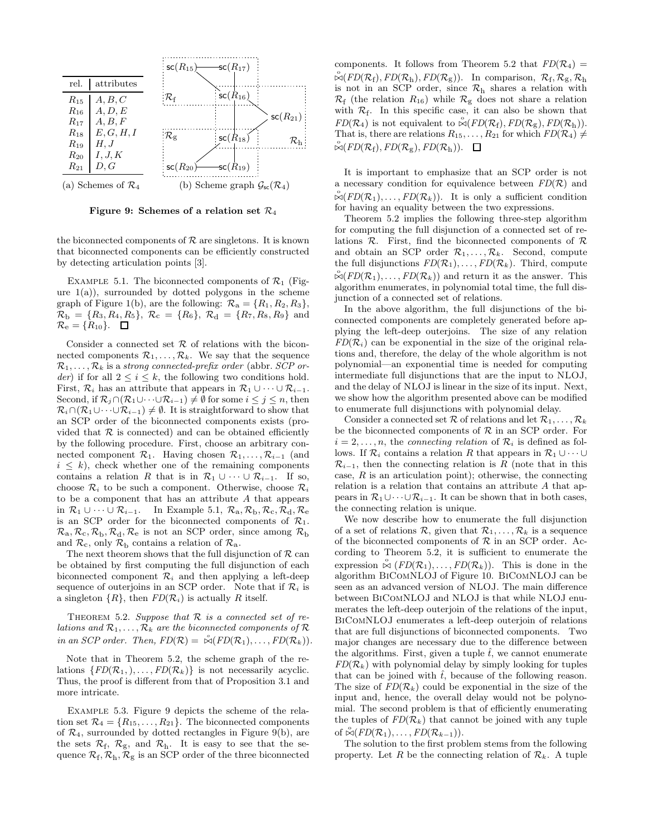

Figure 9: Schemes of a relation set  $\mathcal{R}_4$ 

the biconnected components of  $R$  are singletons. It is known that biconnected components can be efficiently constructed by detecting articulation points [3].

EXAMPLE 5.1. The biconnected components of  $\mathcal{R}_1$  (Figure  $1(a)$ ), surrounded by dotted polygons in the scheme graph of Figure 1(b), are the following:  $\mathcal{R}_a = \{R_1, R_2, R_3\},\$  $\mathcal{R}_{\rm b} = \{R_3, R_4, R_5\}, \mathcal{R}_{\rm c} = \{R_6\}, \mathcal{R}_{\rm d} = \{R_7, R_8, R_9\}$  and  $\mathcal{R}_e = \{R_{10}\}.$   $\Box$ 

Consider a connected set  $R$  of relations with the biconnected components  $\mathcal{R}_1, \ldots, \mathcal{R}_k$ . We say that the sequence  $\mathcal{R}_1, \ldots, \mathcal{R}_k$  is a strong connected-prefix order (abbr. SCP order) if for all  $2 \leq i \leq k$ , the following two conditions hold. First,  $\mathcal{R}_i$  has an attribute that appears in  $\mathcal{R}_1 \cup \cdots \cup \mathcal{R}_{i-1}$ . Second, if  $\mathcal{R}_j \cap (\mathcal{R}_1 \cup \cdots \cup \mathcal{R}_{i-1}) \neq \emptyset$  for some  $i \leq j \leq n$ , then  $\mathcal{R}_i \cap (\mathcal{R}_1 \cup \cdots \cup \mathcal{R}_{i-1}) \neq \emptyset$ . It is straightforward to show that an SCP order of the biconnected components exists (provided that  $R$  is connected) and can be obtained efficiently by the following procedure. First, choose an arbitrary connected component  $\mathcal{R}_1$ . Having chosen  $\mathcal{R}_1, \ldots, \mathcal{R}_{i-1}$  (and  $i \leq k$ , check whether one of the remaining components contains a relation R that is in  $\mathcal{R}_1 \cup \cdots \cup \mathcal{R}_{i-1}$ . If so, choose  $\mathcal{R}_i$  to be such a component. Otherwise, choose  $\mathcal{R}_i$ to be a component that has an attribute A that appears in  $\mathcal{R}_1 \cup \cdots \cup \mathcal{R}_{i-1}$ . In Example 5.1,  $\mathcal{R}_a, \mathcal{R}_b, \mathcal{R}_c, \mathcal{R}_d, \mathcal{R}_e$ is an SCP order for the biconnected components of  $\mathcal{R}_1$ .  $\mathcal{R}_{a}, \mathcal{R}_{c}, \mathcal{R}_{b}, \mathcal{R}_{d}, \mathcal{R}_{e}$  is not an SCP order, since among  $\mathcal{R}_{b}$ and  $\mathcal{R}_{c}$ , only  $\mathcal{R}_{b}$  contains a relation of  $\mathcal{R}_{a}$ .

The next theorem shows that the full disjunction of  $\mathcal R$  can be obtained by first computing the full disjunction of each biconnected component  $\mathcal{R}_i$  and then applying a left-deep sequence of outerjoins in an SCP order. Note that if  $\mathcal{R}_i$  is a singleton  $\{R\}$ , then  $FD(\mathcal{R}_i)$  is actually R itself.

THEOREM 5.2. Suppose that  $R$  is a connected set of relations and  $\mathcal{R}_1, \ldots, \mathcal{R}_k$  are the biconnected components of  $\mathcal R$ in an SCP order. Then,  $FD(\mathcal{R}) = \overset{\circ}{\bowtie} (FD(\mathcal{R}_1), \ldots, FD(\mathcal{R}_k)).$ 

Note that in Theorem 5.2, the scheme graph of the relations  $\{FD(\mathcal{R}_1,), \ldots, FD(\mathcal{R}_k)\}\$ is not necessarily acyclic. Thus, the proof is different from that of Proposition 3.1 and more intricate.

Example 5.3. Figure 9 depicts the scheme of the relation set  $\mathcal{R}_4 = \{R_{15}, \ldots, R_{21}\}.$  The biconnected components of  $\mathcal{R}_4$ , surrounded by dotted rectangles in Figure 9(b), are the sets  $\mathcal{R}_{f}$ ,  $\mathcal{R}_{g}$ , and  $\mathcal{R}_{h}$ . It is easy to see that the sequence  $\mathcal{R}_{\text{f}}$ ,  $\mathcal{R}_{\text{h}}$ ,  $\mathcal{R}_{\text{g}}$  is an SCP order of the three biconnected

components. It follows from Theorem 5.2 that  $FD(R_4) =$  $\mathbb{R}(FD(\mathcal{R}_{f}), FD(\mathcal{R}_{h}), FD(\mathcal{R}_{g})).$  In comparison,  $\mathcal{R}_{f}, \mathcal{R}_{g}, \mathcal{R}_{h}$ is not in an SCP order, since  $\mathcal{R}_{h}$  shares a relation with  $\mathcal{R}_{\text{f}}$  (the relation  $R_{16}$ ) while  $\mathcal{R}_{\text{g}}$  does not share a relation with  $\mathcal{R}_f$ . In this specific case, it can also be shown that  $FD(R_4)$  is not equivalent to  $\mathcal{A}(FD(R_f), FD(R_g), FD(R_h)).$ That is, there are relations  $R_{15}, \ldots, R_{21}$  for which  $FD(\mathcal{R}_4) \neq$  $\overset{\circ}{\bowtie}$ (FD( $\mathcal{R}_{\text{f}}$ ), FD( $\mathcal{R}_{\text{g}}$ ), FD( $\mathcal{R}_{\text{h}}$ )).

It is important to emphasize that an SCP order is not a necessary condition for equivalence between  $FD(R)$  and  $\mathbb{R}(FD(\mathcal{R}_1), \ldots, FD(\mathcal{R}_k)).$  It is only a sufficient condition for having an equality between the two expressions.

Theorem 5.2 implies the following three-step algorithm for computing the full disjunction of a connected set of relations  $\mathcal{R}$ . First, find the biconnected components of  $\mathcal{R}$ and obtain an SCP order  $\mathcal{R}_1, \ldots, \mathcal{R}_k$ . Second, compute the full disjunctions  $FD(\mathcal{R}_1), \ldots, FD(\mathcal{R}_k)$ . Third, compute  $\mathbb{R}(FD(\mathcal{R}_1), \ldots, FD(\mathcal{R}_k))$  and return it as the answer. This algorithm enumerates, in polynomial total time, the full disjunction of a connected set of relations.

In the above algorithm, the full disjunctions of the biconnected components are completely generated before applying the left-deep outerjoins. The size of any relation  $FD(\mathcal{R}_i)$  can be exponential in the size of the original relations and, therefore, the delay of the whole algorithm is not polynomial—an exponential time is needed for computing intermediate full disjunctions that are the input to NLOJ, and the delay of NLOJ is linear in the size of its input. Next, we show how the algorithm presented above can be modified to enumerate full disjunctions with polynomial delay.

Consider a connected set R of relations and let  $\mathcal{R}_1, \ldots, \mathcal{R}_k$ be the biconnected components of  $R$  in an SCP order. For  $i = 2, \ldots, n$ , the connecting relation of  $\mathcal{R}_i$  is defined as follows. If  $\mathcal{R}_i$  contains a relation R that appears in  $\mathcal{R}_1 \cup \cdots \cup$  $\mathcal{R}_{i-1}$ , then the connecting relation is R (note that in this case,  $R$  is an articulation point); otherwise, the connecting relation is a relation that contains an attribute  $A$  that appears in  $\mathcal{R}_1 \cup \cdots \cup \mathcal{R}_{i-1}$ . It can be shown that in both cases, the connecting relation is unique.

We now describe how to enumerate the full disjunction of a set of relations  $\mathcal{R}$ , given that  $\mathcal{R}_1, \ldots, \mathcal{R}_k$  is a sequence of the biconnected components of  $R$  in an SCP order. According to Theorem 5.2, it is sufficient to enumerate the expression  $\stackrel{\circ}{\bowtie} (FD(\mathcal{R}_1), \ldots, FD(\mathcal{R}_k))$ . This is done in the algorithm BiComNLOJ of Figure 10. BiComNLOJ can be seen as an advanced version of NLOJ. The main difference between BiComNLOJ and NLOJ is that while NLOJ enumerates the left-deep outerjoin of the relations of the input, BiComNLOJ enumerates a left-deep outerjoin of relations that are full disjunctions of biconnected components. Two major changes are necessary due to the difference between the algorithms. First, given a tuple  $\hat{t}$ , we cannot enumerate  $FD(\mathcal{R}_k)$  with polynomial delay by simply looking for tuples that can be joined with  $\hat{t}$ , because of the following reason. The size of  $FD(\mathcal{R}_k)$  could be exponential in the size of the input and, hence, the overall delay would not be polynomial. The second problem is that of efficiently enumerating the tuples of  $FD(\mathcal{R}_k)$  that cannot be joined with any tuple of  $\stackrel{\circ}{\bowtie} (FD(\mathcal{R}_1), \ldots, FD(\mathcal{R}_{k-1})).$ 

The solution to the first problem stems from the following property. Let R be the connecting relation of  $\mathcal{R}_k$ . A tuple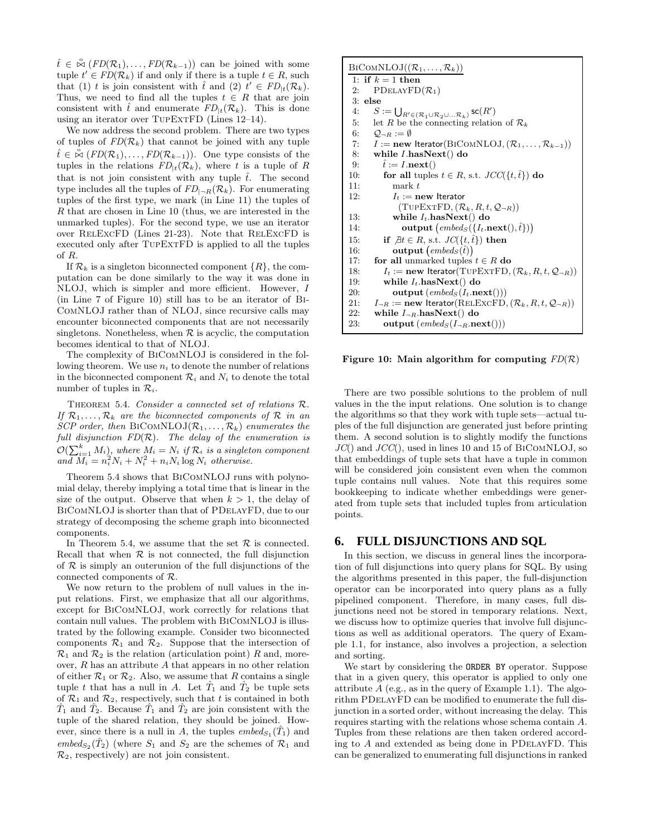$\hat{t} \in \overset{\circ}{\bowtie} (FD(\mathcal{R}_1), \ldots, FD(\mathcal{R}_{k-1}))$  can be joined with some tuple  $t' \in FD(\mathcal{R}_k)$  if and only if there is a tuple  $t \in R$ , such that (1) t is join consistent with  $\hat{t}$  and (2)  $t' \in FD_{|t}(\mathcal{R}_k)$ . Thus, we need to find all the tuples  $t \in R$  that are join consistent with  $\hat{t}$  and enumerate  $FD_{\vert t}(\mathcal{R}_k)$ . This is done using an iterator over TUPEXTFD (Lines 12–14).

We now address the second problem. There are two types of tuples of  $FD(\mathcal{R}_k)$  that cannot be joined with any tuple  $\hat{t} \in \overset{\circ}{\bowtie} (FD(\mathcal{R}_1), \ldots, FD(\mathcal{R}_{k-1}))$ . One type consists of the tuples in the relations  $FD_{t}(\mathcal{R}_{k})$ , where t is a tuple of R that is not join consistent with any tuple  $\hat{t}$ . The second type includes all the tuples of  $FD_{\square R}(\mathcal{R}_k)$ . For enumerating tuples of the first type, we mark (in Line 11) the tuples of R that are chosen in Line 10 (thus, we are interested in the unmarked tuples). For the second type, we use an iterator over RelExcFD (Lines 21-23). Note that RelExcFD is executed only after TupExtFD is applied to all the tuples of R.

If  $\mathcal{R}_k$  is a singleton biconnected component  $\{R\}$ , the computation can be done similarly to the way it was done in NLOJ, which is simpler and more efficient. However, I (in Line 7 of Figure 10) still has to be an iterator of Bi-ComNLOJ rather than of NLOJ, since recursive calls may encounter biconnected components that are not necessarily singletons. Nonetheless, when  $R$  is acyclic, the computation becomes identical to that of NLOJ.

The complexity of BiComNLOJ is considered in the following theorem. We use  $n_i$  to denote the number of relations in the biconnected component  $\mathcal{R}_i$  and  $N_i$  to denote the total number of tuples in  $\mathcal{R}_i$ .

THEOREM 5.4. Consider a connected set of relations  $\mathcal{R}$ . If  $\mathcal{R}_1, \ldots, \mathcal{R}_k$  are the biconnected components of  $\mathcal R$  in an SCP order, then BICOMNLOJ $(\mathcal{R}_1, \ldots, \mathcal{R}_k)$  enumerates the full disjunction  $FD(R)$ . The delay of the enumeration is  $\mathcal{O}(\sum_{i=1}^k M_i)$ , where  $M_i = N_i$  if  $\mathcal{R}_i$  is a singleton component and  $\overline{M}_i = n_i^2 N_i + N_i^2 + n_i N_i \log N_i$  otherwise.

Theorem 5.4 shows that BiComNLOJ runs with polynomial delay, thereby implying a total time that is linear in the size of the output. Observe that when  $k > 1$ , the delay of BiComNLOJ is shorter than that of PDelayFD, due to our strategy of decomposing the scheme graph into biconnected components.

In Theorem 5.4, we assume that the set  $\mathcal R$  is connected. Recall that when  $R$  is not connected, the full disjunction of  $R$  is simply an outerunion of the full disjunctions of the connected components of R.

We now return to the problem of null values in the input relations. First, we emphasize that all our algorithms, except for BiComNLOJ, work correctly for relations that contain null values. The problem with BiComNLOJ is illustrated by the following example. Consider two biconnected components  $\mathcal{R}_1$  and  $\mathcal{R}_2$ . Suppose that the intersection of  $\mathcal{R}_1$  and  $\mathcal{R}_2$  is the relation (articulation point) R and, moreover,  $R$  has an attribute  $A$  that appears in no other relation of either  $\mathcal{R}_1$  or  $\mathcal{R}_2$ . Also, we assume that R contains a single tuple t that has a null in A. Let  $\hat{T}_1$  and  $\hat{T}_2$  be tuple sets of  $\mathcal{R}_1$  and  $\mathcal{R}_2$ , respectively, such that t is contained in both  $\hat{T}_1$  and  $\hat{T}_2$ . Because  $\hat{T}_1$  and  $\hat{T}_2$  are join consistent with the tuple of the shared relation, they should be joined. However, since there is a null in A, the tuples  $embeds_1(\hat{T}_1)$  and embed $s_2(\hat{T}_2)$  (where  $S_1$  and  $S_2$  are the schemes of  $\mathcal{R}_1$  and  $\mathcal{R}_2$ , respectively) are not join consistent.

| $\text{BiComNLOJ}((\mathcal{R}_1,\ldots,\mathcal{R}_k))$                                             |  |  |  |
|------------------------------------------------------------------------------------------------------|--|--|--|
| 1: if $k=1$ then                                                                                     |  |  |  |
| PDELAYFD $(\mathcal{R}_1)$<br>2:                                                                     |  |  |  |
| $3:$ else                                                                                            |  |  |  |
| 4:<br>$S := \bigcup_{R' \in (\mathcal{R}_1 \cup \mathcal{R}_2 \cup  \mathcal{R}_k)} \mathsf{sc}(R')$ |  |  |  |
| 5:<br>let R be the connecting relation of $\mathcal{R}_k$                                            |  |  |  |
| 6: $Q_{\neg R} := \emptyset$                                                                         |  |  |  |
| 7: $I := new$ Iterator(BICOMNLOJ, $(\mathcal{R}_1, , \mathcal{R}_{k-1})$ )                           |  |  |  |
| 8: while $I \cdot \text{hasNext}()$ do                                                               |  |  |  |
| $\tilde{t} := I \cdot \textbf{next}()$<br>9:                                                         |  |  |  |
| for all tuples $t \in R$ , s.t. $JCC({t, \hat{t}})$ do<br>10:                                        |  |  |  |
| mark t<br>11:                                                                                        |  |  |  |
| 12:<br>$I_t := \textbf{new}$ Iterator                                                                |  |  |  |
| $(TUPEXTFD, (\mathcal{R}_k, R, t, \mathcal{Q}_{\neg R}))$                                            |  |  |  |
| while $I_t$ has Next() do<br>13:                                                                     |  |  |  |
| output $(embed_S(\{I_t.\textbf{next}(),\hat{t}\}))$<br>14:                                           |  |  |  |
| if $\exists t \in R$ , s.t. $JC(\{t, t\})$ then<br>15:                                               |  |  |  |
| $\textbf{output}\ (embed_S(\hat{t}))$<br>16:                                                         |  |  |  |
| for all unmarked tuples $t \in R$ do<br>17:                                                          |  |  |  |
| $I_t := \textbf{new}$ Iterator(TUPEXTFD, $(\mathcal{R}_k, R, t, \mathcal{Q}_{\neg R})$ )<br>18:      |  |  |  |
| while $I_t$ has $Next()$ do<br>19:                                                                   |  |  |  |
| 20:<br>output $(embed_S(I_t.next)))$                                                                 |  |  |  |
| $I_{\neg R} := \textbf{new Iterator}(RELEXCFD, (\mathcal{R}_k, R, t, \mathcal{Q}_{\neg R}))$<br>21:  |  |  |  |
| 22:<br>while $I_{\neg R}$ has Next() do                                                              |  |  |  |
| 23:<br>output $(\mathit{embed}_S(I_{\neg R}.\textbf{next})))$                                        |  |  |  |
|                                                                                                      |  |  |  |

Figure 10: Main algorithm for computing  $FD(R)$ 

There are two possible solutions to the problem of null values in the the input relations. One solution is to change the algorithms so that they work with tuple sets—actual tuples of the full disjunction are generated just before printing them. A second solution is to slightly modify the functions  $JC()$  and  $JCC()$ , used in lines 10 and 15 of BICOMNLOJ, so that embeddings of tuple sets that have a tuple in common will be considered join consistent even when the common tuple contains null values. Note that this requires some bookkeeping to indicate whether embeddings were generated from tuple sets that included tuples from articulation points.

## **6. FULL DISJUNCTIONS AND SQL**

In this section, we discuss in general lines the incorporation of full disjunctions into query plans for SQL. By using the algorithms presented in this paper, the full-disjunction operator can be incorporated into query plans as a fully pipelined component. Therefore, in many cases, full disjunctions need not be stored in temporary relations. Next, we discuss how to optimize queries that involve full disjunctions as well as additional operators. The query of Example 1.1, for instance, also involves a projection, a selection and sorting.

We start by considering the ORDER BY operator. Suppose that in a given query, this operator is applied to only one attribute  $A$  (e.g., as in the query of Example 1.1). The algorithm PDelayFD can be modified to enumerate the full disjunction in a sorted order, without increasing the delay. This requires starting with the relations whose schema contain A. Tuples from these relations are then taken ordered according to  $A$  and extended as being done in PDELAYFD. This can be generalized to enumerating full disjunctions in ranked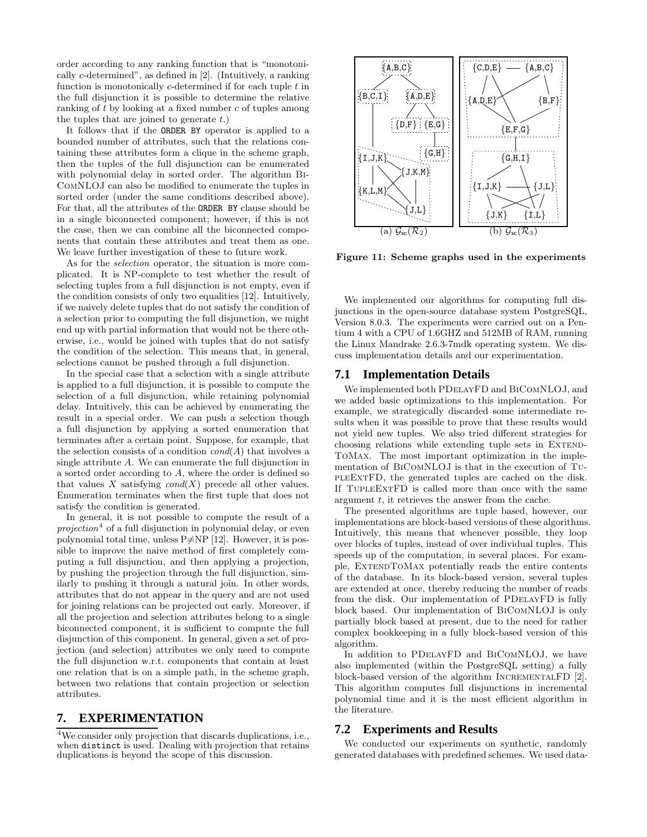order according to any ranking function that is "monotonically c-determined", as defined in [2]. (Intuitively, a ranking function is monotonically  $c$ -determined if for each tuple  $t$  in the full disjunction it is possible to determine the relative ranking of t by looking at a fixed number c of tuples among the tuples that are joined to generate  $t$ .)

It follows that if the ORDER BY operator is applied to a bounded number of attributes, such that the relations containing these attributes form a clique in the scheme graph, then the tuples of the full disjunction can be enumerated with polynomial delay in sorted order. The algorithm Bi-ComNLOJ can also be modified to enumerate the tuples in sorted order (under the same conditions described above). For that, all the attributes of the ORDER BY clause should be in a single biconnected component; however, if this is not the case, then we can combine all the biconnected components that contain these attributes and treat them as one. We leave further investigation of these to future work.

As for the selection operator, the situation is more complicated. It is NP-complete to test whether the result of selecting tuples from a full disjunction is not empty, even if the condition consists of only two equalities [12]. Intuitively, if we naively delete tuples that do not satisfy the condition of a selection prior to computing the full disjunction, we might end up with partial information that would not be there otherwise, i.e., would be joined with tuples that do not satisfy the condition of the selection. This means that, in general, selections cannot be pushed through a full disjunction.

In the special case that a selection with a single attribute is applied to a full disjunction, it is possible to compute the selection of a full disjunction, while retaining polynomial delay. Intuitively, this can be achieved by enumerating the result in a special order. We can push a selection though a full disjunction by applying a sorted enumeration that terminates after a certain point. Suppose, for example, that the selection consists of a condition  $\text{cond}(A)$  that involves a single attribute A. We can enumerate the full disjunction in a sorted order according to A, where the order is defined so that values X satisfying  $cond(X)$  precede all other values. Enumeration terminates when the first tuple that does not satisfy the condition is generated.

In general, it is not possible to compute the result of a  $projection<sup>4</sup>$  of a full disjunction in polynomial delay, or even polynomial total time, unless  $P \neq NP$  [12]. However, it is possible to improve the naive method of first completely computing a full disjunction, and then applying a projection, by pushing the projection through the full disjunction, similarly to pushing it through a natural join. In other words, attributes that do not appear in the query and are not used for joining relations can be projected out early. Moreover, if all the projection and selection attributes belong to a single biconnected component, it is sufficient to compute the full disjunction of this component. In general, given a set of projection (and selection) attributes we only need to compute the full disjunction w.r.t. components that contain at least one relation that is on a simple path, in the scheme graph, between two relations that contain projection or selection attributes.

## **7. EXPERIMENTATION**

<sup>4</sup>We consider only projection that discards duplications, i.e., when distinct is used. Dealing with projection that retains duplications is beyond the scope of this discussion.



Figure 11: Scheme graphs used in the experiments

We implemented our algorithms for computing full disjunctions in the open-source database system PostgreSQL, Version 8.0.3. The experiments were carried out on a Pentium 4 with a CPU of 1.6GHZ and 512MB of RAM, running the Linux Mandrake 2.6.3-7mdk operating system. We discuss implementation details and our experimentation.

#### **7.1 Implementation Details**

We implemented both PDelayFD and BiComNLOJ, and we added basic optimizations to this implementation. For example, we strategically discarded some intermediate results when it was possible to prove that these results would not yield new tuples. We also tried different strategies for choosing relations while extending tuple sets in EXTEND-ToMax. The most important optimization in the implementation of BiComNLOJ is that in the execution of TupleExtFD, the generated tuples are cached on the disk. If TupleExtFD is called more than once with the same argument  $t$ , it retrieves the answer from the cache.

The presented algorithms are tuple based, however, our implementations are block-based versions of these algorithms. Intuitively, this means that whenever possible, they loop over blocks of tuples, instead of over individual tuples. This speeds up of the computation, in several places. For example, ExtendToMax potentially reads the entire contents of the database. In its block-based version, several tuples are extended at once, thereby reducing the number of reads from the disk. Our implementation of PDelayFD is fully block based. Our implementation of BiComNLOJ is only partially block based at present, due to the need for rather complex bookkeeping in a fully block-based version of this algorithm.

In addition to PDelayFD and BiComNLOJ, we have also implemented (within the PostgreSQL setting) a fully block-based version of the algorithm IncrementalFD [2]. This algorithm computes full disjunctions in incremental polynomial time and it is the most efficient algorithm in the literature.

#### **7.2 Experiments and Results**

We conducted our experiments on synthetic, randomly generated databases with predefined schemes. We used data-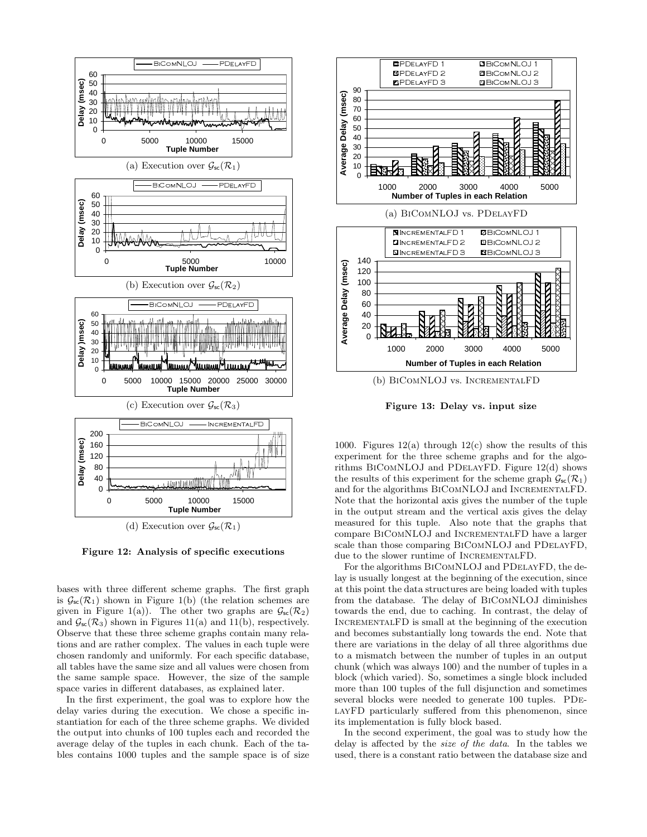

Figure 12: Analysis of specific executions

bases with three different scheme graphs. The first graph is  $\mathcal{G}_{\text{sc}}(\mathcal{R}_1)$  shown in Figure 1(b) (the relation schemes are given in Figure 1(a)). The other two graphs are  $\mathcal{G}_{\mathsf{sc}}(\mathcal{R}_2)$ and  $\mathcal{G}_{\text{sc}}(\mathcal{R}_3)$  shown in Figures 11(a) and 11(b), respectively. Observe that these three scheme graphs contain many relations and are rather complex. The values in each tuple were chosen randomly and uniformly. For each specific database, all tables have the same size and all values were chosen from the same sample space. However, the size of the sample space varies in different databases, as explained later.

In the first experiment, the goal was to explore how the delay varies during the execution. We chose a specific instantiation for each of the three scheme graphs. We divided the output into chunks of 100 tuples each and recorded the average delay of the tuples in each chunk. Each of the tables contains 1000 tuples and the sample space is of size



Figure 13: Delay vs. input size

1000. Figures  $12(a)$  through  $12(c)$  show the results of this experiment for the three scheme graphs and for the algorithms BiComNLOJ and PDelayFD. Figure 12(d) shows the results of this experiment for the scheme graph  $\mathcal{G}_{\text{sc}}(\mathcal{R}_1)$ and for the algorithms BiComNLOJ and IncrementalFD. Note that the horizontal axis gives the number of the tuple in the output stream and the vertical axis gives the delay measured for this tuple. Also note that the graphs that compare BiComNLOJ and IncrementalFD have a larger scale than those comparing BiComNLOJ and PDelayFD, due to the slower runtime of INCREMENTALFD.

For the algorithms BiComNLOJ and PDelayFD, the delay is usually longest at the beginning of the execution, since at this point the data structures are being loaded with tuples from the database. The delay of BiComNLOJ diminishes towards the end, due to caching. In contrast, the delay of INCREMENTALFD is small at the beginning of the execution and becomes substantially long towards the end. Note that there are variations in the delay of all three algorithms due to a mismatch between the number of tuples in an output chunk (which was always 100) and the number of tuples in a block (which varied). So, sometimes a single block included more than 100 tuples of the full disjunction and sometimes several blocks were needed to generate 100 tuples. PDe-LAYFD particularly suffered from this phenomenon, since its implementation is fully block based.

In the second experiment, the goal was to study how the delay is affected by the size of the data. In the tables we used, there is a constant ratio between the database size and